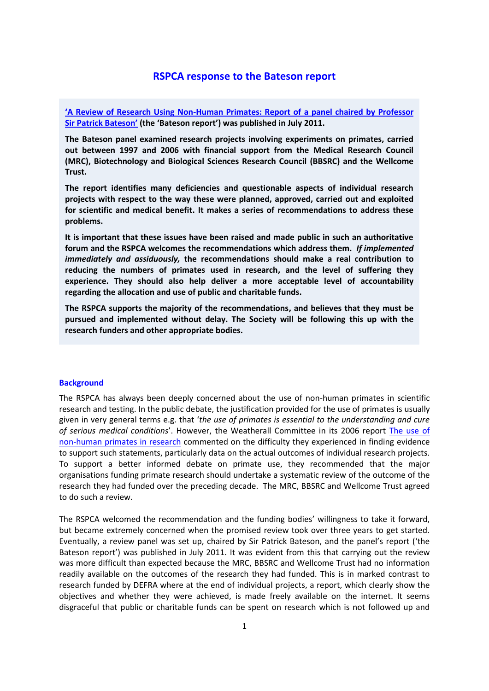# **RSPCA response to the Bateson report**

**'A [Review of Research Using Non-Human Primates: Report of a panel chaired by Professor](http://www.mrc.ac.uk/Utilities/Documentrecord/index.htm?d=MRC008083)  [Sir Patrick Bateson'](http://www.mrc.ac.uk/Utilities/Documentrecord/index.htm?d=MRC008083) (the 'Bateson report') was published in July 2011.**

**The Bateson panel examined research projects involving experiments on primates, carried out between 1997 and 2006 with financial support from the Medical Research Council (MRC), Biotechnology and Biological Sciences Research Council (BBSRC) and the Wellcome Trust.**

**The report identifies many deficiencies and questionable aspects of individual research projects with respect to the way these were planned, approved, carried out and exploited for scientific and medical benefit. It makes a series of recommendations to address these problems.** 

**It is important that these issues have been raised and made public in such an authoritative forum and the RSPCA welcomes the recommendations which address them.** *If implemented immediately and assiduously,* **the recommendations should make a real contribution to reducing the numbers of primates used in research, and the level of suffering they experience. They should also help deliver a more acceptable level of accountability regarding the allocation and use of public and charitable funds.** 

**The RSPCA supports the majority of the recommendations, and believes that they must be pursued and implemented without delay. The Society will be following this up with the research funders and other appropriate bodies.** 

# **Background**

The RSPCA has always been deeply concerned about the use of non-human primates in scientific research and testing. In the public debate, the justification provided for the use of primates is usually given in very general terms e.g. that '*the use of primates is essential to the understanding and cure of serious medical conditions*'. However, the Weatherall Committee in its 2006 report [The use of](http://royalsociety.org/General_WF.aspx?pageid=9115&terms=weatherall)  [non-human primates in research](http://royalsociety.org/General_WF.aspx?pageid=9115&terms=weatherall) commented on the difficulty they experienced in finding evidence to support such statements, particularly data on the actual outcomes of individual research projects. To support a better informed debate on primate use, they recommended that the major organisations funding primate research should undertake a systematic review of the outcome of the research they had funded over the preceding decade. The MRC, BBSRC and Wellcome Trust agreed to do such a review.

The RSPCA welcomed the recommendation and the funding bodies' willingness to take it forward, but became extremely concerned when the promised review took over three years to get started. Eventually, a review panel was set up, chaired by Sir Patrick Bateson, and the panel's report ('the Bateson report') was published in July 2011. It was evident from this that carrying out the review was more difficult than expected because the MRC, BBSRC and Wellcome Trust had no information readily available on the outcomes of the research they had funded. This is in marked contrast to research funded by DEFRA where at the end of individual projects, a report, which clearly show the objectives and whether they were achieved, is made freely available on the internet. It seems disgraceful that public or charitable funds can be spent on research which is not followed up and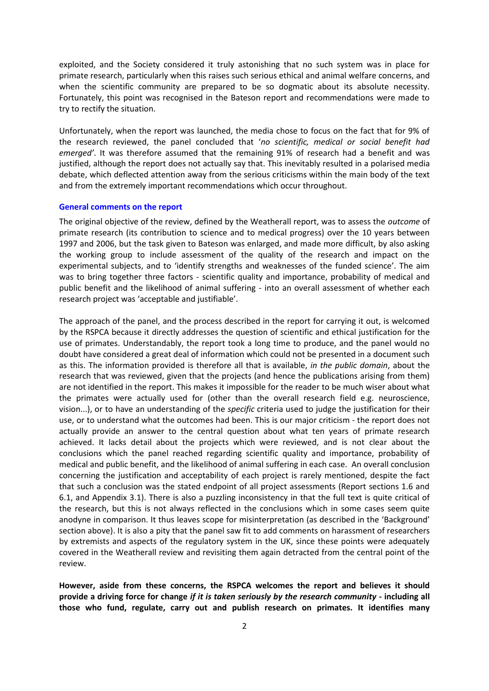exploited, and the Society considered it truly astonishing that no such system was in place for primate research, particularly when this raises such serious ethical and animal welfare concerns, and when the scientific community are prepared to be so dogmatic about its absolute necessity. Fortunately, this point was recognised in the Bateson report and recommendations were made to try to rectify the situation.

Unfortunately, when the report was launched, the media chose to focus on the fact that for 9% of the research reviewed, the panel concluded that '*no scientific, medical or social benefit had emerged'*. It was therefore assumed that the remaining 91% of research had a benefit and was justified, although the report does not actually say that. This inevitably resulted in a polarised media debate, which deflected attention away from the serious criticisms within the main body of the text and from the extremely important recommendations which occur throughout.

#### **General comments on the report**

The original objective of the review, defined by the Weatherall report, was to assess the *outcome* of primate research (its contribution to science and to medical progress) over the 10 years between 1997 and 2006, but the task given to Bateson was enlarged, and made more difficult, by also asking the working group to include assessment of the quality of the research and impact on the experimental subjects, and to 'identify strengths and weaknesses of the funded science'. The aim was to bring together three factors - scientific quality and importance, probability of medical and public benefit and the likelihood of animal suffering - into an overall assessment of whether each research project was 'acceptable and justifiable'.

The approach of the panel, and the process described in the report for carrying it out, is welcomed by the RSPCA because it directly addresses the question of scientific and ethical justification for the use of primates. Understandably, the report took a long time to produce, and the panel would no doubt have considered a great deal of information which could not be presented in a document such as this. The information provided is therefore all that is available, *in the public domain*, about the research that was reviewed, given that the projects (and hence the publications arising from them) are not identified in the report. This makes it impossible for the reader to be much wiser about what the primates were actually used for (other than the overall research field e.g. neuroscience, vision...), or to have an understanding of the *specific* criteria used to judge the justification for their use, or to understand what the outcomes had been. This is our major criticism - the report does not actually provide an answer to the central question about what ten years of primate research achieved. It lacks detail about the projects which were reviewed, and is not clear about the conclusions which the panel reached regarding scientific quality and importance, probability of medical and public benefit, and the likelihood of animal suffering in each case. An overall conclusion concerning the justification and acceptability of each project is rarely mentioned, despite the fact that such a conclusion was the stated endpoint of all project assessments (Report sections 1.6 and 6.1, and Appendix 3.1). There is also a puzzling inconsistency in that the full text is quite critical of the research, but this is not always reflected in the conclusions which in some cases seem quite anodyne in comparison. It thus leaves scope for misinterpretation (as described in the 'Background' section above). It is also a pity that the panel saw fit to add comments on harassment of researchers by extremists and aspects of the regulatory system in the UK, since these points were adequately covered in the Weatherall review and revisiting them again detracted from the central point of the review.

**However, aside from these concerns, the RSPCA welcomes the report and believes it should provide a driving force for change** *if it is taken seriously by the research community* **- including all those who fund, regulate, carry out and publish research on primates. It identifies many**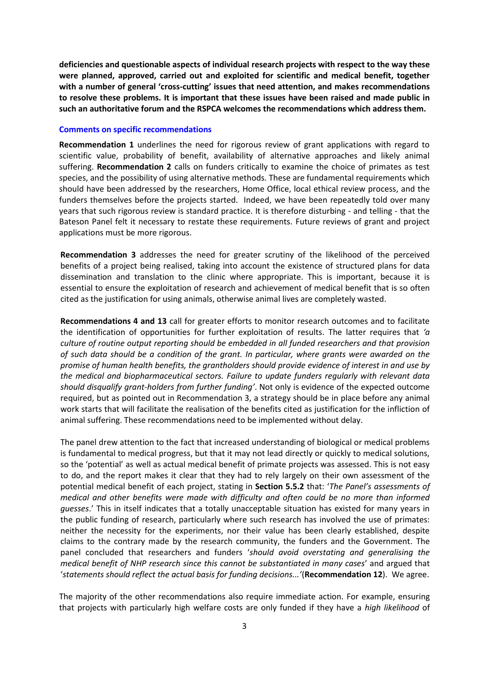**deficiencies and questionable aspects of individual research projects with respect to the way these were planned, approved, carried out and exploited for scientific and medical benefit, together with a number of general 'cross-cutting' issues that need attention, and makes recommendations to resolve these problems. It is important that these issues have been raised and made public in such an authoritative forum and the RSPCA welcomes the recommendations which address them.** 

## **Comments on specific recommendations**

**Recommendation 1** underlines the need for rigorous review of grant applications with regard to scientific value, probability of benefit, availability of alternative approaches and likely animal suffering. **Recommendation 2** calls on funders critically to examine the choice of primates as test species, and the possibility of using alternative methods. These are fundamental requirements which should have been addressed by the researchers, Home Office, local ethical review process, and the funders themselves before the projects started. Indeed, we have been repeatedly told over many years that such rigorous review is standard practice. It is therefore disturbing - and telling - that the Bateson Panel felt it necessary to restate these requirements. Future reviews of grant and project applications must be more rigorous.

**Recommendation 3** addresses the need for greater scrutiny of the likelihood of the perceived benefits of a project being realised, taking into account the existence of structured plans for data dissemination and translation to the clinic where appropriate. This is important, because it is essential to ensure the exploitation of research and achievement of medical benefit that is so often cited as the justification for using animals, otherwise animal lives are completely wasted.

**Recommendations 4 and 13** call for greater efforts to monitor research outcomes and to facilitate the identification of opportunities for further exploitation of results. The latter requires that *'a culture of routine output reporting should be embedded in all funded researchers and that provision of such data should be a condition of the grant. In particular, where grants were awarded on the promise of human health benefits, the grantholders should provide evidence of interest in and use by the medical and biopharmaceutical sectors. Failure to update funders regularly with relevant data should disqualify grant-holders from further funding'*. Not only is evidence of the expected outcome required, but as pointed out in Recommendation 3, a strategy should be in place before any animal work starts that will facilitate the realisation of the benefits cited as justification for the infliction of animal suffering. These recommendations need to be implemented without delay.

The panel drew attention to the fact that increased understanding of biological or medical problems is fundamental to medical progress, but that it may not lead directly or quickly to medical solutions, so the 'potential' as well as actual medical benefit of primate projects was assessed. This is not easy to do, and the report makes it clear that they had to rely largely on their own assessment of the potential medical benefit of each project, stating in **Section 5.5.2** that: '*The Panel's assessments of medical and other benefits were made with difficulty and often could be no more than informed guesses*.' This in itself indicates that a totally unacceptable situation has existed for many years in the public funding of research, particularly where such research has involved the use of primates: neither the necessity for the experiments, nor their value has been clearly established, despite claims to the contrary made by the research community, the funders and the Government. The panel concluded that researchers and funders '*should avoid overstating and generalising the medical benefit of NHP research since this cannot be substantiated in many cases*' and argued that '*statements should reflect the actual basis for funding decisions...'*(**Recommendation 12**). We agree.

The majority of the other recommendations also require immediate action. For example, ensuring that projects with particularly high welfare costs are only funded if they have a *high likelihood* of